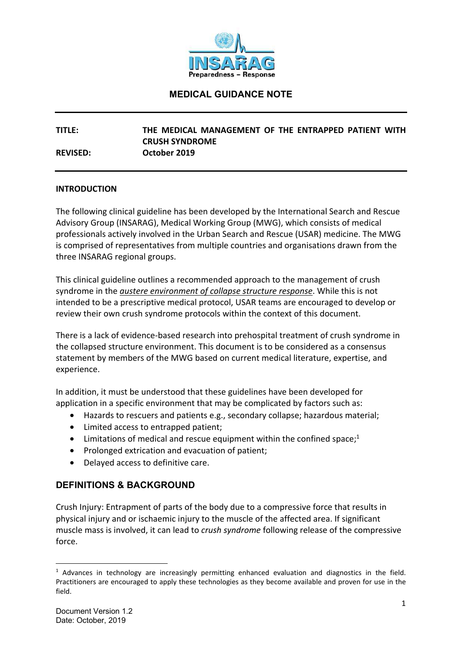

**TITLE: THE MEDICAL MANAGEMENT OF THE ENTRAPPED PATIENT WITH CRUSH SYNDROME REVISED: October 2019** 

#### **INTRODUCTION**

The following clinical guideline has been developed by the International Search and Rescue Advisory Group (INSARAG), Medical Working Group (MWG), which consists of medical professionals actively involved in the Urban Search and Rescue (USAR) medicine. The MWG is comprised of representatives from multiple countries and organisations drawn from the three INSARAG regional groups.

This clinical guideline outlines a recommended approach to the management of crush syndrome in the *austere environment of collapse structure response*. While this is not intended to be a prescriptive medical protocol, USAR teams are encouraged to develop or review their own crush syndrome protocols within the context of this document.

There is a lack of evidence-based research into prehospital treatment of crush syndrome in the collapsed structure environment. This document is to be considered as a consensus statement by members of the MWG based on current medical literature, expertise, and experience.

In addition, it must be understood that these guidelines have been developed for application in a specific environment that may be complicated by factors such as:

- Hazards to rescuers and patients e.g., secondary collapse; hazardous material;
- Limited access to entrapped patient;
- Limitations of medical and rescue equipment within the confined space; $1$
- Prolonged extrication and evacuation of patient;
- Delayed access to definitive care.

### **DEFINITIONS & BACKGROUND**

Crush Injury: Entrapment of parts of the body due to a compressive force that results in physical injury and or ischaemic injury to the muscle of the affected area. If significant muscle mass is involved, it can lead to *crush syndrome* following release of the compressive force.

**.** 

<sup>&</sup>lt;sup>1</sup> Advances in technology are increasingly permitting enhanced evaluation and diagnostics in the field. Practitioners are encouraged to apply these technologies as they become available and proven for use in the field.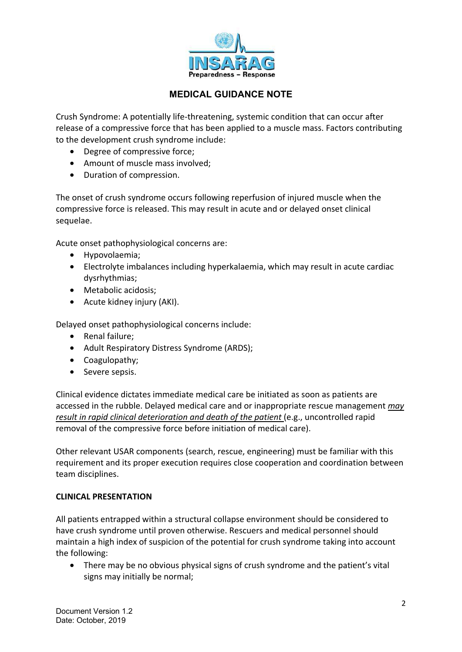

Crush Syndrome: A potentially life-threatening, systemic condition that can occur after release of a compressive force that has been applied to a muscle mass. Factors contributing to the development crush syndrome include:

- Degree of compressive force;
- Amount of muscle mass involved;
- Duration of compression.

The onset of crush syndrome occurs following reperfusion of injured muscle when the compressive force is released. This may result in acute and or delayed onset clinical sequelae.

Acute onset pathophysiological concerns are:

- Hypovolaemia;
- Electrolyte imbalances including hyperkalaemia, which may result in acute cardiac dysrhythmias;
- Metabolic acidosis;
- Acute kidney injury (AKI).

Delayed onset pathophysiological concerns include:

- Renal failure;
- Adult Respiratory Distress Syndrome (ARDS);
- Coagulopathy;
- Severe sepsis.

Clinical evidence dictates immediate medical care be initiated as soon as patients are accessed in the rubble. Delayed medical care and or inappropriate rescue management *may result in rapid clinical deterioration and death of the patient* (e.g., uncontrolled rapid removal of the compressive force before initiation of medical care).

Other relevant USAR components (search, rescue, engineering) must be familiar with this requirement and its proper execution requires close cooperation and coordination between team disciplines.

#### **CLINICAL PRESENTATION**

All patients entrapped within a structural collapse environment should be considered to have crush syndrome until proven otherwise. Rescuers and medical personnel should maintain a high index of suspicion of the potential for crush syndrome taking into account the following:

• There may be no obvious physical signs of crush syndrome and the patient's vital signs may initially be normal;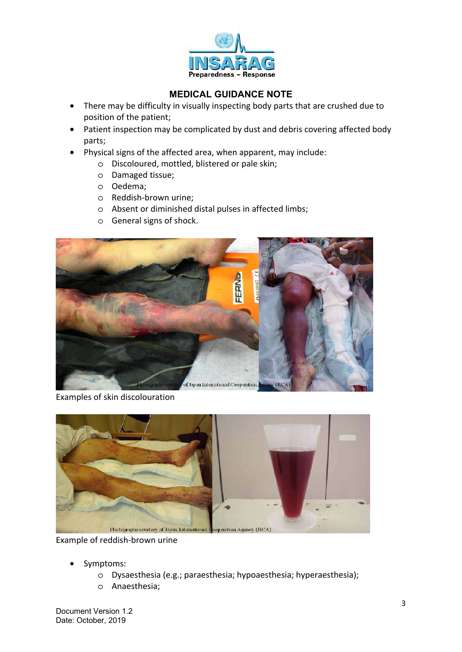

- There may be difficulty in visually inspecting body parts that are crushed due to position of the patient;
- Patient inspection may be complicated by dust and debris covering affected body parts;
- Physical signs of the affected area, when apparent, may include:
	- o Discoloured, mottled, blistered or pale skin;
	- o Damaged tissue;
	- o Oedema;
	- o Reddish-brown urine;
	- o Absent or diminished distal pulses in affected limbs;
	- o General signs of shock.



Examples of skin discolouration



Example of reddish-brown urine

- Symptoms:
	- o Dysaesthesia (e.g.; paraesthesia; hypoaesthesia; hyperaesthesia);
	- o Anaesthesia;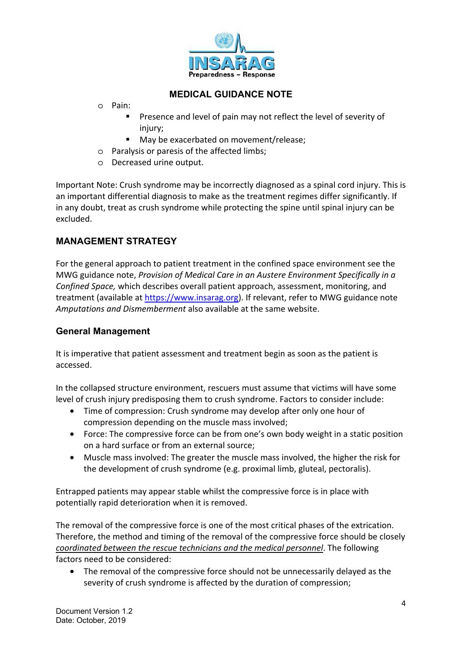

- o Pain:
	- Presence and level of pain may not reflect the level of severity of injury;
	- May be exacerbated on movement/release;
- o Paralysis or paresis of the affected limbs;
- o Decreased urine output.

Important Note: Crush syndrome may be incorrectly diagnosed as a spinal cord injury. This is an important differential diagnosis to make as the treatment regimes differ significantly. If in any doubt, treat as crush syndrome while protecting the spine until spinal injury can be excluded.

# **MANAGEMENT STRATEGY**

For the general approach to patient treatment in the confined space environment see the MWG guidance note, *Provision of Medical Care in an Austere Environment Specifically in a Confined Space,* which describes overall patient approach, assessment, monitoring, and treatment (available at https://www.insarag.org). If relevant, refer to MWG guidance note *Amputations and Dismemberment* also available at the same website.

### **General Management**

It is imperative that patient assessment and treatment begin as soon as the patient is accessed.

In the collapsed structure environment, rescuers must assume that victims will have some level of crush injury predisposing them to crush syndrome. Factors to consider include:

- Time of compression: Crush syndrome may develop after only one hour of compression depending on the muscle mass involved;
- Force: The compressive force can be from one's own body weight in a static position on a hard surface or from an external source;
- Muscle mass involved: The greater the muscle mass involved, the higher the risk for the development of crush syndrome (e.g. proximal limb, gluteal, pectoralis).

Entrapped patients may appear stable whilst the compressive force is in place with potentially rapid deterioration when it is removed.

The removal of the compressive force is one of the most critical phases of the extrication. Therefore, the method and timing of the removal of the compressive force should be closely *coordinated between the rescue technicians and the medical personnel*. The following factors need to be considered:

• The removal of the compressive force should not be unnecessarily delayed as the severity of crush syndrome is affected by the duration of compression;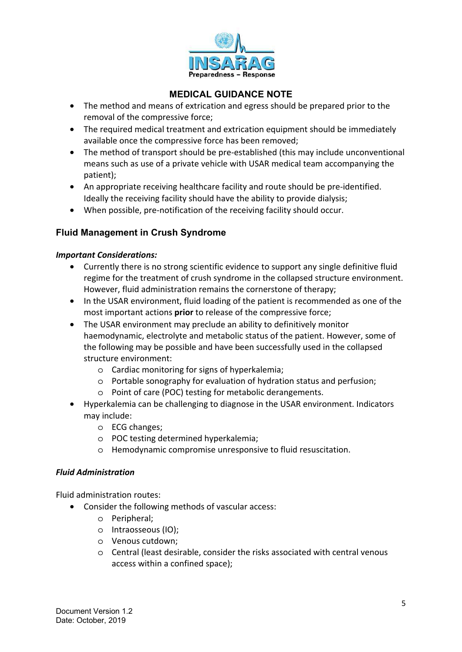

- The method and means of extrication and egress should be prepared prior to the removal of the compressive force;
- The required medical treatment and extrication equipment should be immediately available once the compressive force has been removed;
- The method of transport should be pre-established (this may include unconventional means such as use of a private vehicle with USAR medical team accompanying the patient);
- An appropriate receiving healthcare facility and route should be pre-identified. Ideally the receiving facility should have the ability to provide dialysis;
- When possible, pre-notification of the receiving facility should occur.

## **Fluid Management in Crush Syndrome**

### *Important Considerations:*

- Currently there is no strong scientific evidence to support any single definitive fluid regime for the treatment of crush syndrome in the collapsed structure environment. However, fluid administration remains the cornerstone of therapy;
- In the USAR environment, fluid loading of the patient is recommended as one of the most important actions **prior** to release of the compressive force;
- The USAR environment may preclude an ability to definitively monitor haemodynamic, electrolyte and metabolic status of the patient. However, some of the following may be possible and have been successfully used in the collapsed structure environment:
	- o Cardiac monitoring for signs of hyperkalemia;
	- o Portable sonography for evaluation of hydration status and perfusion;
	- o Point of care (POC) testing for metabolic derangements.
- Hyperkalemia can be challenging to diagnose in the USAR environment. Indicators may include:
	- o ECG changes;
	- o POC testing determined hyperkalemia;
	- o Hemodynamic compromise unresponsive to fluid resuscitation.

### *Fluid Administration*

Fluid administration routes:

- Consider the following methods of vascular access:
	- o Peripheral;
	- o Intraosseous (IO);
	- o Venous cutdown;
	- o Central (least desirable, consider the risks associated with central venous access within a confined space);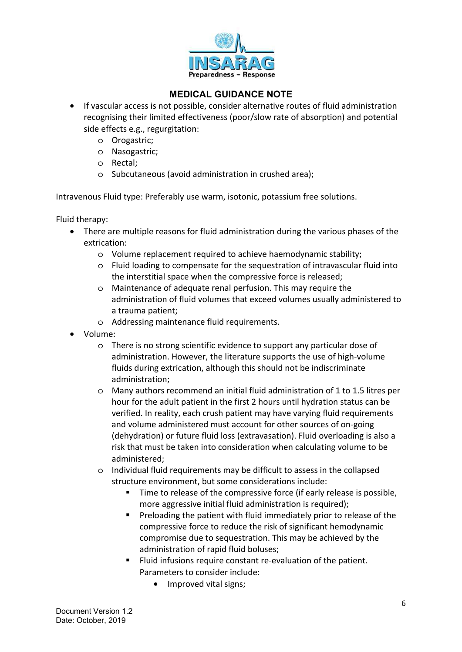

- If vascular access is not possible, consider alternative routes of fluid administration recognising their limited effectiveness (poor/slow rate of absorption) and potential side effects e.g., regurgitation:
	- o Orogastric;
	- o Nasogastric;
	- o Rectal;
	- o Subcutaneous (avoid administration in crushed area);

Intravenous Fluid type: Preferably use warm, isotonic, potassium free solutions.

Fluid therapy:

- There are multiple reasons for fluid administration during the various phases of the extrication:
	- o Volume replacement required to achieve haemodynamic stability;
	- o Fluid loading to compensate for the sequestration of intravascular fluid into the interstitial space when the compressive force is released;
	- o Maintenance of adequate renal perfusion. This may require the administration of fluid volumes that exceed volumes usually administered to a trauma patient;
	- o Addressing maintenance fluid requirements.
- Volume:
	- o There is no strong scientific evidence to support any particular dose of administration. However, the literature supports the use of high-volume fluids during extrication, although this should not be indiscriminate administration;
	- o Many authors recommend an initial fluid administration of 1 to 1.5 litres per hour for the adult patient in the first 2 hours until hydration status can be verified. In reality, each crush patient may have varying fluid requirements and volume administered must account for other sources of on-going (dehydration) or future fluid loss (extravasation). Fluid overloading is also a risk that must be taken into consideration when calculating volume to be administered;
	- o Individual fluid requirements may be difficult to assess in the collapsed structure environment, but some considerations include:
		- Time to release of the compressive force (if early release is possible, more aggressive initial fluid administration is required);
		- **Preloading the patient with fluid immediately prior to release of the** compressive force to reduce the risk of significant hemodynamic compromise due to sequestration. This may be achieved by the administration of rapid fluid boluses;
		- Fluid infusions require constant re-evaluation of the patient. Parameters to consider include:
			- Improved vital signs;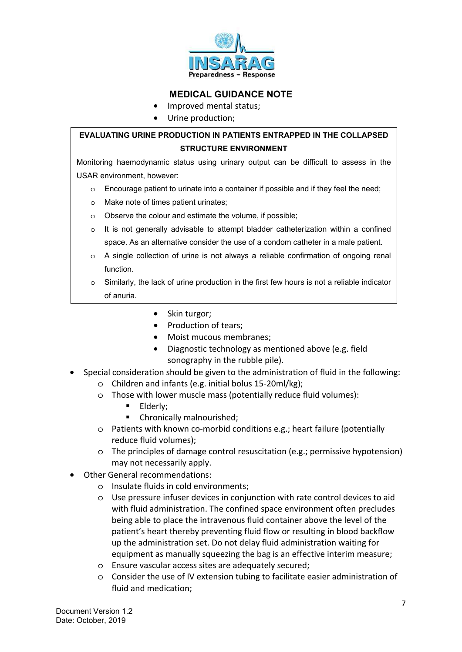

- Improved mental status;
- Urine production;

## **EVALUATING URINE PRODUCTION IN PATIENTS ENTRAPPED IN THE COLLAPSED STRUCTURE ENVIRONMENT**

Monitoring haemodynamic status using urinary output can be difficult to assess in the USAR environment, however:

- o Encourage patient to urinate into a container if possible and if they feel the need;
- o Make note of times patient urinates;
- o Observe the colour and estimate the volume, if possible;
- $\circ$  It is not generally advisable to attempt bladder catheterization within a confined space. As an alternative consider the use of a condom catheter in a male patient.
- o A single collection of urine is not always a reliable confirmation of ongoing renal function.
- o Similarly, the lack of urine production in the first few hours is not a reliable indicator of anuria.
	- Skin turgor;
	- Production of tears;
	- Moist mucous membranes;
	- Diagnostic technology as mentioned above (e.g. field sonography in the rubble pile).
- Special consideration should be given to the administration of fluid in the following:
	- o Children and infants (e.g. initial bolus 15-20ml/kg);
	- o Those with lower muscle mass (potentially reduce fluid volumes):
		- **Elderly:**
		- Chronically malnourished;
	- o Patients with known co-morbid conditions e.g.; heart failure (potentially reduce fluid volumes);
	- o The principles of damage control resuscitation (e.g.; permissive hypotension) may not necessarily apply.
- Other General recommendations:
	- o Insulate fluids in cold environments;
	- o Use pressure infuser devices in conjunction with rate control devices to aid with fluid administration. The confined space environment often precludes being able to place the intravenous fluid container above the level of the patient's heart thereby preventing fluid flow or resulting in blood backflow up the administration set. Do not delay fluid administration waiting for equipment as manually squeezing the bag is an effective interim measure;
	- o Ensure vascular access sites are adequately secured;
	- o Consider the use of IV extension tubing to facilitate easier administration of fluid and medication;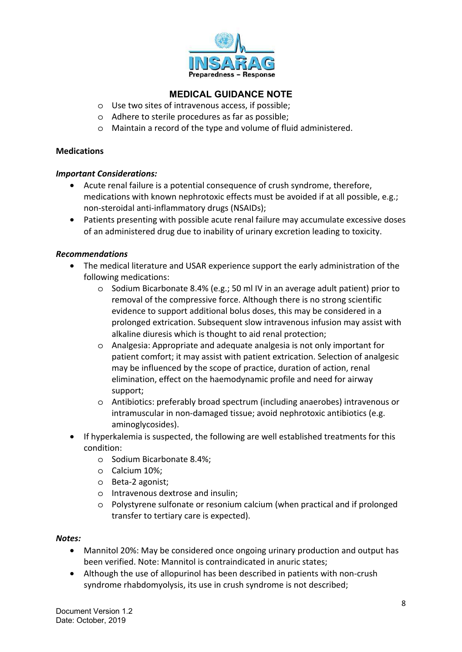

- o Use two sites of intravenous access, if possible;
- o Adhere to sterile procedures as far as possible;
- o Maintain a record of the type and volume of fluid administered.

#### **Medications**

### *Important Considerations:*

- Acute renal failure is a potential consequence of crush syndrome, therefore, medications with known nephrotoxic effects must be avoided if at all possible, e.g.; non-steroidal anti-inflammatory drugs (NSAIDs);
- Patients presenting with possible acute renal failure may accumulate excessive doses of an administered drug due to inability of urinary excretion leading to toxicity.

### *Recommendations*

- The medical literature and USAR experience support the early administration of the following medications:
	- o Sodium Bicarbonate 8.4% (e.g.; 50 ml IV in an average adult patient) prior to removal of the compressive force. Although there is no strong scientific evidence to support additional bolus doses, this may be considered in a prolonged extrication. Subsequent slow intravenous infusion may assist with alkaline diuresis which is thought to aid renal protection;
	- o Analgesia: Appropriate and adequate analgesia is not only important for patient comfort; it may assist with patient extrication. Selection of analgesic may be influenced by the scope of practice, duration of action, renal elimination, effect on the haemodynamic profile and need for airway support;
	- o Antibiotics: preferably broad spectrum (including anaerobes) intravenous or intramuscular in non-damaged tissue; avoid nephrotoxic antibiotics (e.g. aminoglycosides).
- If hyperkalemia is suspected, the following are well established treatments for this condition:
	- o Sodium Bicarbonate 8.4%;
	- o Calcium 10%;
	- o Beta-2 agonist;
	- o Intravenous dextrose and insulin;
	- o Polystyrene sulfonate or resonium calcium (when practical and if prolonged transfer to tertiary care is expected).

#### *Notes:*

- Mannitol 20%: May be considered once ongoing urinary production and output has been verified. Note: Mannitol is contraindicated in anuric states;
- Although the use of allopurinol has been described in patients with non-crush syndrome rhabdomyolysis, its use in crush syndrome is not described;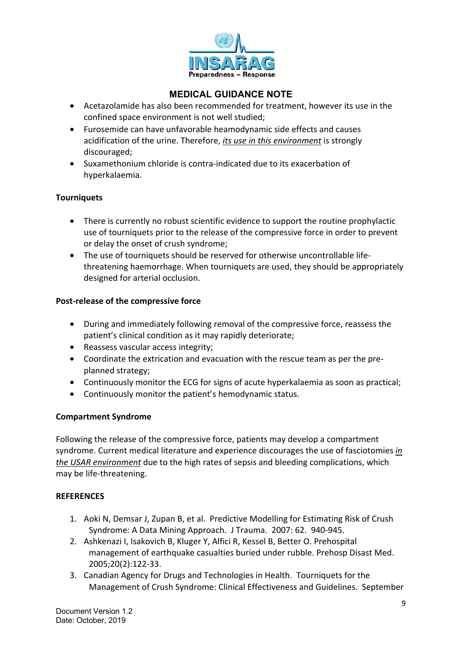

- Acetazolamide has also been recommended for treatment, however its use in the confined space environment is not well studied;
- Furosemide can have unfavorable heamodynamic side effects and causes acidification of the urine. Therefore, *its use in this environment* is strongly discouraged;
- Suxamethonium chloride is contra-indicated due to its exacerbation of hyperkalaemia.

### **Tourniquets**

- There is currently no robust scientific evidence to support the routine prophylactic use of tourniquets prior to the release of the compressive force in order to prevent or delay the onset of crush syndrome;
- The use of tourniquets should be reserved for otherwise uncontrollable lifethreatening haemorrhage. When tourniquets are used, they should be appropriately designed for arterial occlusion.

### **Post-release of the compressive force**

- During and immediately following removal of the compressive force, reassess the patient's clinical condition as it may rapidly deteriorate;
- Reassess vascular access integrity;
- Coordinate the extrication and evacuation with the rescue team as per the preplanned strategy;
- Continuously monitor the ECG for signs of acute hyperkalaemia as soon as practical;
- Continuously monitor the patient's hemodynamic status.

### **Compartment Syndrome**

Following the release of the compressive force, patients may develop a compartment syndrome. Current medical literature and experience discourages the use of fasciotomies *in the USAR environment* due to the high rates of sepsis and bleeding complications, which may be life-threatening.

#### **REFERENCES**

- 1. Aoki N, Demsar J, Zupan B, et al. Predictive Modelling for Estimating Risk of Crush Syndrome: A Data Mining Approach. J Trauma. 2007: 62. 940-945.
- 2. Ashkenazi I, Isakovich B, Kluger Y, Alfici R, Kessel B, Better O. Prehospital management of earthquake casualties buried under rubble. Prehosp Disast Med. 2005;20(2):122-33.
- 3. Canadian Agency for Drugs and Technologies in Health. Tourniquets for the Management of Crush Syndrome: Clinical Effectiveness and Guidelines. September